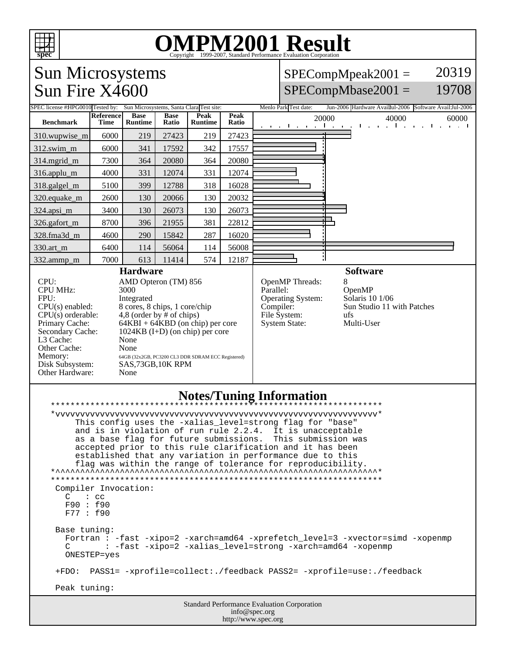

## OMPM2001 Result to Evaluation Corporation

## Sun Microsystems Sun Fire X4600

## SPECompMpeak2001 = SPECompMbase2001 = 20319 19708

| SPEC license #HPG0010 Tested by: Sun Microsystems, Santa Clara Test site:                                                                                                                                                                                                                                                                                                                                                                                                                                                                                                                                                                                                                                                                                                                          |                          |                        |                      |                 |               | Menlo Park Test date:                                                                                         |          | Jun-2006 Hardware Availful-2006 Software Avail:Jul-2006                                  |  |
|----------------------------------------------------------------------------------------------------------------------------------------------------------------------------------------------------------------------------------------------------------------------------------------------------------------------------------------------------------------------------------------------------------------------------------------------------------------------------------------------------------------------------------------------------------------------------------------------------------------------------------------------------------------------------------------------------------------------------------------------------------------------------------------------------|--------------------------|------------------------|----------------------|-----------------|---------------|---------------------------------------------------------------------------------------------------------------|----------|------------------------------------------------------------------------------------------|--|
| <b>Benchmark</b>                                                                                                                                                                                                                                                                                                                                                                                                                                                                                                                                                                                                                                                                                                                                                                                   | Reference<br><b>Time</b> | <b>Base</b><br>Runtime | <b>Base</b><br>Ratio | Peak<br>Runtime | Peak<br>Ratio | 20000                                                                                                         |          | 40000<br>60000<br>and the most companies the most companies the most to                  |  |
| 310.wupwise_m                                                                                                                                                                                                                                                                                                                                                                                                                                                                                                                                                                                                                                                                                                                                                                                      | 6000                     | 219                    | 27423                | 219             | 27423         |                                                                                                               |          |                                                                                          |  |
| 312.swim m                                                                                                                                                                                                                                                                                                                                                                                                                                                                                                                                                                                                                                                                                                                                                                                         | 6000                     | 341                    | 17592                | 342             | 17557         |                                                                                                               |          |                                                                                          |  |
| 314.mgrid_m                                                                                                                                                                                                                                                                                                                                                                                                                                                                                                                                                                                                                                                                                                                                                                                        | 7300                     | 364                    | 20080                | 364             | 20080         |                                                                                                               |          |                                                                                          |  |
| 316.applu_m                                                                                                                                                                                                                                                                                                                                                                                                                                                                                                                                                                                                                                                                                                                                                                                        | 4000                     | 331                    | 12074                | 331             | 12074         |                                                                                                               |          |                                                                                          |  |
| 318.galgel_m                                                                                                                                                                                                                                                                                                                                                                                                                                                                                                                                                                                                                                                                                                                                                                                       | 5100                     | 399                    | 12788                | 318             | 16028         |                                                                                                               |          |                                                                                          |  |
| 320.equake_m                                                                                                                                                                                                                                                                                                                                                                                                                                                                                                                                                                                                                                                                                                                                                                                       | 2600                     | 130                    | 20066                | 130             | 20032         |                                                                                                               |          |                                                                                          |  |
| 324.apsi_m                                                                                                                                                                                                                                                                                                                                                                                                                                                                                                                                                                                                                                                                                                                                                                                         | 3400                     | 130                    | 26073                | 130             | 26073         |                                                                                                               |          |                                                                                          |  |
| 326.gafort m                                                                                                                                                                                                                                                                                                                                                                                                                                                                                                                                                                                                                                                                                                                                                                                       | 8700                     | 396                    | 21955                | 381             | 22812         |                                                                                                               |          |                                                                                          |  |
| 328.fma3d m                                                                                                                                                                                                                                                                                                                                                                                                                                                                                                                                                                                                                                                                                                                                                                                        | 4600                     | 290                    | 15842                | 287             | 16020         |                                                                                                               |          |                                                                                          |  |
| 330.art m                                                                                                                                                                                                                                                                                                                                                                                                                                                                                                                                                                                                                                                                                                                                                                                          | 6400                     | 114                    | 56064                | 114             | 56008         |                                                                                                               |          |                                                                                          |  |
| 332.ammp_m                                                                                                                                                                                                                                                                                                                                                                                                                                                                                                                                                                                                                                                                                                                                                                                         | 7000                     | 613                    | 11414                | 574             | 12187         |                                                                                                               |          |                                                                                          |  |
| <b>Hardware</b><br>CPU:<br>AMD Opteron (TM) 856<br><b>CPU MHz:</b><br>3000<br>FPU:<br>Integrated<br>8 cores, 8 chips, 1 core/chip<br>$CPU(s)$ enabled:<br>$CPU(s)$ orderable:<br>4,8 (order by $#$ of chips)<br>Primary Cache:<br>$64KBI + 64KBD$ (on chip) per core<br>Secondary Cache:<br>$1024KB$ (I+D) (on chip) per core<br>L <sub>3</sub> Cache:<br>None<br>Other Cache:<br>None<br>Memory:<br>64GB (32x2GB, PC3200 CL3 DDR SDRAM ECC Registered)<br>Disk Subsystem:<br>SAS,73GB,10K RPM<br>Other Hardware:<br>None                                                                                                                                                                                                                                                                          |                          |                        |                      |                 |               | OpenMP Threads:<br>Parallel:<br><b>Operating System:</b><br>Compiler:<br>File System:<br><b>System State:</b> | 8<br>ufs | <b>Software</b><br>OpenMP<br>Solaris 10 1/06<br>Sun Studio 11 with Patches<br>Multi-User |  |
| <b>Notes/Tuning Information</b><br>******************<br>This config uses the -xalias_level=strong flag for "base"<br>and is in violation of run rule 2.2.4.<br>It is unacceptable<br>This submission was<br>as a base flag for future submissions.<br>accepted prior to this rule clarification and it has been<br>established that any variation in performance due to this<br>flag was within the range of tolerance for reproducibility.<br>Compiler Invocation:<br>$C \t : cc$<br>F90: f90<br>F77 : f90<br>Base tuning:<br>Fortran : -fast -xipo=2 -xarch=amd64 -xprefetch_level=3 -xvector=simd -xopenmp<br>: -fast -xipo=2 -xalias_level=strong -xarch=amd64 -xopenmp<br>C<br>ONESTEP=yes<br>PASS1= -xprofile=collect:./feedback PASS2= -xprofile=use:./feedback<br>$+FDO:$<br>Peak tuning: |                          |                        |                      |                 |               |                                                                                                               |          |                                                                                          |  |
|                                                                                                                                                                                                                                                                                                                                                                                                                                                                                                                                                                                                                                                                                                                                                                                                    |                          |                        |                      |                 |               | Standard Performance Evaluation Corporation                                                                   |          |                                                                                          |  |
| info@spec.org<br>http://www.spec.org                                                                                                                                                                                                                                                                                                                                                                                                                                                                                                                                                                                                                                                                                                                                                               |                          |                        |                      |                 |               |                                                                                                               |          |                                                                                          |  |